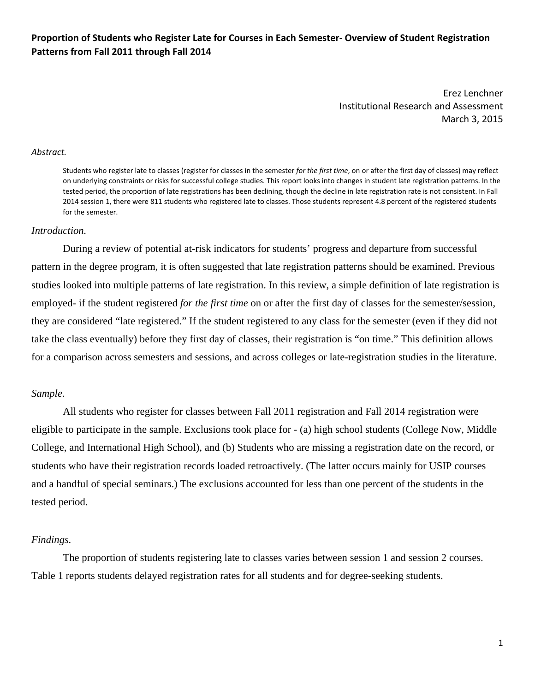# Proportion of Students who Register Late for Courses in Each Semester- Overview of Student Registration  **Patterns from Fall 2011 through Fall 2014**

 Erez Lenchner Institutional Research and Assessment March 3, 2015

#### *Abstract.*

  Students who register late to classes (register for classes in the semester *for the first time*, on or after the first day of classes) may reflect on underlying constraints or risks for successful college studies. This report looks into changes in student late registration patterns. In the tested period, the proportion of late registrations has been declining, though the decline in late registration rate is not consistent. In Fall 2014 session 1, there were 811 students who registered late to classes. Those students represent 4.8 percent of the registered students for the semester.

### *Introduction.*

During a review of potential at-risk indicators for students' progress and departure from successful pattern in the degree program, it is often suggested that late registration patterns should be examined. Previous studies looked into multiple patterns of late registration. In this review, a simple definition of late registration is employed- if the student registered *for the first time* on or after the first day of classes for the semester/session, they are considered "late registered." If the student registered to any class for the semester (even if they did not take the class eventually) before they first day of classes, their registration is "on time." This definition allows for a comparison across semesters and sessions, and across colleges or late-registration studies in the literature.

### *Sample.*

All students who register for classes between Fall 2011 registration and Fall 2014 registration were eligible to participate in the sample. Exclusions took place for - (a) high school students (College Now, Middle College, and International High School), and (b) Students who are missing a registration date on the record, or students who have their registration records loaded retroactively. (The latter occurs mainly for USIP courses and a handful of special seminars.) The exclusions accounted for less than one percent of the students in the tested period.

#### *Findings.*

The proportion of students registering late to classes varies between session 1 and session 2 courses. Table 1 reports students delayed registration rates for all students and for degree-seeking students.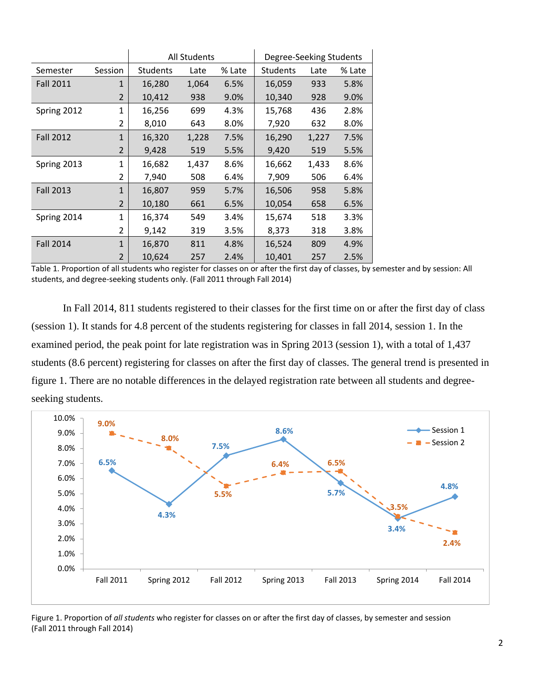|                     |                |                 | <b>All Students</b> |        | Degree-Seeking Students |       |        |  |  |
|---------------------|----------------|-----------------|---------------------|--------|-------------------------|-------|--------|--|--|
| Session<br>Semester |                | <b>Students</b> | Late                | % Late | <b>Students</b>         | Late  | % Late |  |  |
| <b>Fall 2011</b>    | $\mathbf{1}$   | 16,280          | 1,064               | 6.5%   | 16,059                  | 933   | 5.8%   |  |  |
|                     | 2              | 10,412          | 938                 | 9.0%   | 10,340                  | 928   | 9.0%   |  |  |
| Spring 2012         | $\mathbf{1}$   | 16,256          | 699                 | 4.3%   | 15,768                  | 436   | 2.8%   |  |  |
|                     | 2              | 8,010           | 643                 | 8.0%   | 7,920                   | 632   | 8.0%   |  |  |
| <b>Fall 2012</b>    | $\mathbf{1}$   | 16,320          | 1,228               | 7.5%   | 16,290                  | 1,227 | 7.5%   |  |  |
|                     | 2              | 9,428           | 519                 | 5.5%   | 9,420                   | 519   | 5.5%   |  |  |
| Spring 2013         | 1              | 16,682          | 1,437               | 8.6%   | 16,662                  | 1,433 | 8.6%   |  |  |
|                     | 2              | 7,940           | 508                 | 6.4%   | 7,909                   | 506   | 6.4%   |  |  |
| <b>Fall 2013</b>    | $\mathbf{1}$   | 16,807          | 959                 | 5.7%   | 16,506                  | 958   | 5.8%   |  |  |
|                     | 2              | 10,180          | 661                 | 6.5%   | 10,054                  | 658   | 6.5%   |  |  |
| Spring 2014         | 1              | 16,374          | 549                 | 3.4%   | 15,674                  | 518   | 3.3%   |  |  |
|                     | 2              | 9,142           | 319                 | 3.5%   | 8,373                   | 318   | 3.8%   |  |  |
| <b>Fall 2014</b>    | $\mathbf{1}$   | 16,870          | 811                 | 4.8%   | 16,524                  | 809   | 4.9%   |  |  |
|                     | $\overline{2}$ | 10,624          | 257                 | 2.4%   | 10,401                  | 257   | 2.5%   |  |  |

 Table 1. Proportion of all students who register for classes on or after the first day of classes, by semester and by session: All students, and degree‐seeking students only. (Fall 2011 through Fall 2014)

In Fall 2014, 811 students registered to their classes for the first time on or after the first day of class (session 1). It stands for 4.8 percent of the students registering for classes in fall 2014, session 1. In the examined period, the peak point for late registration was in Spring 2013 (session 1), with a total of 1,437 students (8.6 percent) registering for classes on after the first day of classes. The general trend is presented in figure 1. There are no notable differences in the delayed registration rate between all students and degreeseeking students.



 Figure 1. Proportion of *all students* who register for classes on or after the first day of classes, by semester and session (Fall 2011 through Fall 2014)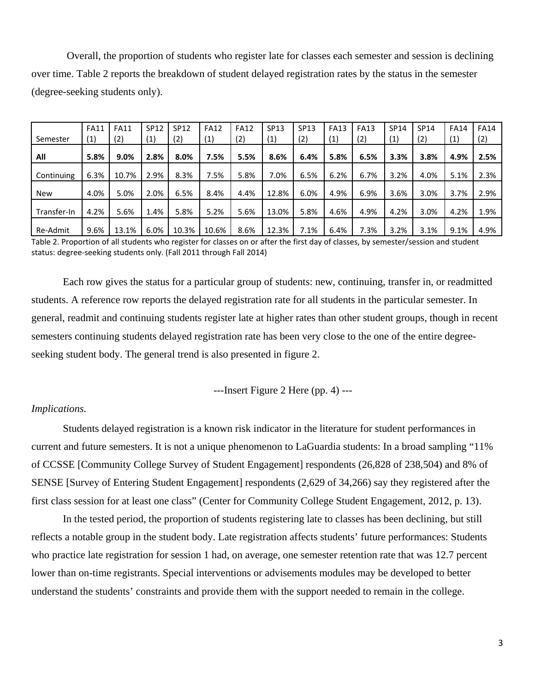Overall, the proportion of students who register late for classes each semester and session is declining over time. Table 2 reports the breakdown of student delayed registration rates by the status in the semester (degree-seeking students only).

|             | <b>FA11</b> | <b>FA11</b> | <b>SP12</b> | <b>SP12</b> | <b>FA12</b> | <b>FA12</b> | <b>SP13</b>         | SP13 | <b>FA13</b> | <b>FA13</b> | <b>SP14</b> | <b>SP14</b> | <b>FA14</b>       | <b>FA14</b> |
|-------------|-------------|-------------|-------------|-------------|-------------|-------------|---------------------|------|-------------|-------------|-------------|-------------|-------------------|-------------|
| Semester    | (1)         | (2)         | (1)         | (2)         | (1)         | (2)         | $\scriptstyle{(1)}$ | (2)  | (1)         | (2)         | (1)         | (2)         | $\left( 1\right)$ | (2)         |
|             |             |             |             |             |             |             |                     |      |             |             |             |             |                   |             |
| All         | 5.8%        | 9.0%        | 2.8%        | 8.0%        | 7.5%        | 5.5%        | 8.6%                | 6.4% | 5.8%        | 6.5%        | 3.3%        | 3.8%        | 4.9%              | 2.5%        |
|             |             |             |             |             |             |             |                     |      |             |             |             |             |                   |             |
| Continuing  | 6.3%        | 10.7%       | 2.9%        | 8.3%        | 7.5%        | 5.8%        | 7.0%                | 6.5% | 6.2%        | 6.7%        | 3.2%        | 4.0%        | 5.1%              | 2.3%        |
|             |             |             |             |             |             |             |                     |      |             |             |             |             |                   |             |
| <b>New</b>  | 4.0%        | 5.0%        | 2.0%        | 6.5%        | 8.4%        | 4.4%        | 12.8%               | 6.0% | 4.9%        | 6.9%        | 3.6%        | 3.0%        | 3.7%              | 2.9%        |
|             |             |             |             |             |             |             |                     |      |             |             |             |             |                   |             |
| Transfer-In | 4.2%        | 5.6%        | 1.4%        | 5.8%        | 5.2%        | 5.6%        | 13.0%               | 5.8% | 4.6%        | 4.9%        | 4.2%        | 3.0%        | 4.2%              | 1.9%        |
|             |             |             |             |             |             |             |                     |      |             |             |             |             |                   |             |
| Re-Admit    | 9.6%        | 13.1%       | 6.0%        | 10.3%       | 10.6%       | 8.6%        | 12.3%               | 7.1% | 6.4%        | 7.3%        | 3.2%        | 3.1%        | 9.1%              | 4.9%        |

 Table 2. Proportion of all students who register for classes on or after the first day of classes, by semester/session and student status: degree‐seeking students only. (Fall 2011 through Fall 2014)

Each row gives the status for a particular group of students: new, continuing, transfer in, or readmitted students. A reference row reports the delayed registration rate for all students in the particular semester. In general, readmit and continuing students register late at higher rates than other student groups, though in recent semesters continuing students delayed registration rate has been very close to the one of the entire degreeseeking student body. The general trend is also presented in figure 2.

---Insert Figure 2 Here (pp. 4) ---

## *Implications.*

Students delayed registration is a known risk indicator in the literature for student performances in current and future semesters. It is not a unique phenomenon to LaGuardia students: In a broad sampling "11% of CCSSE [Community College Survey of Student Engagement] respondents (26,828 of 238,504) and 8% of SENSE [Survey of Entering Student Engagement] respondents (2,629 of 34,266) say they registered after the first class session for at least one class" (Center for Community College Student Engagement, 2012, p. 13).

In the tested period, the proportion of students registering late to classes has been declining, but still reflects a notable group in the student body. Late registration affects students' future performances: Students who practice late registration for session 1 had, on average, one semester retention rate that was 12.7 percent lower than on-time registrants. Special interventions or advisements modules may be developed to better understand the students' constraints and provide them with the support needed to remain in the college.